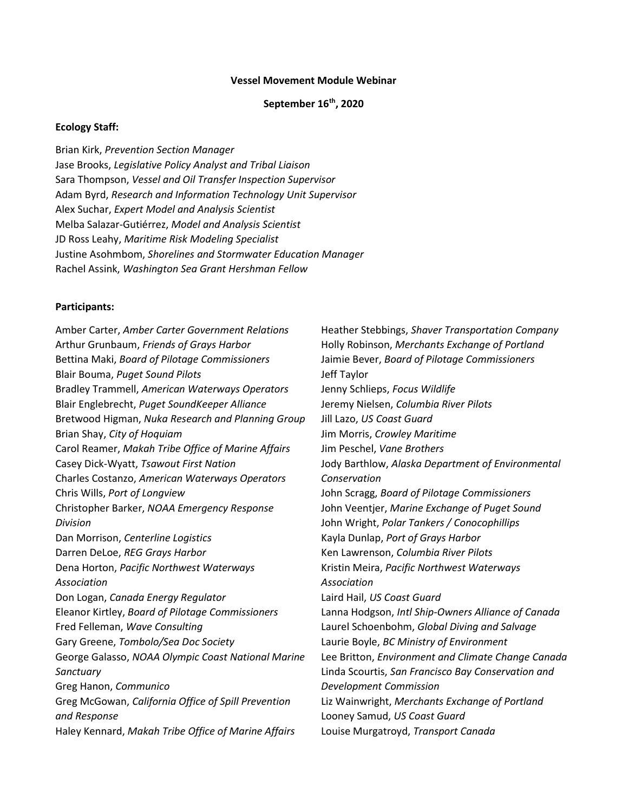#### Vessel Movement Module Webinar

#### September 16<sup>th</sup>, 2020

#### Ecology Staff:

Brian Kirk, Prevention Section Manager Jase Brooks, Legislative Policy Analyst and Tribal Liaison Sara Thompson, Vessel and Oil Transfer Inspection Supervisor Adam Byrd, Research and Information Technology Unit Supervisor Alex Suchar, Expert Model and Analysis Scientist Melba Salazar-Gutiérrez, Model and Analysis Scientist JD Ross Leahy, Maritime Risk Modeling Specialist Justine Asohmbom, Shorelines and Stormwater Education Manager Rachel Assink, Washington Sea Grant Hershman Fellow

#### Participants:

Amber Carter, Amber Carter Government Relations Arthur Grunbaum, Friends of Grays Harbor Bettina Maki, Board of Pilotage Commissioners Blair Bouma, Puget Sound Pilots Bradley Trammell, American Waterways Operators Blair Englebrecht, Puget SoundKeeper Alliance Bretwood Higman, Nuka Research and Planning Group Brian Shay, City of Hoquiam Carol Reamer, Makah Tribe Office of Marine Affairs Casey Dick-Wyatt, Tsawout First Nation Charles Costanzo, American Waterways Operators Chris Wills, Port of Longview Christopher Barker, NOAA Emergency Response Division Dan Morrison, Centerline Logistics Darren DeLoe, REG Grays Harbor Dena Horton, Pacific Northwest Waterways Association Don Logan, Canada Energy Regulator Eleanor Kirtley, Board of Pilotage Commissioners Fred Felleman, Wave Consulting Gary Greene, Tombolo/Sea Doc Society George Galasso, NOAA Olympic Coast National Marine **Sanctuary** Greg Hanon, Communico Greg McGowan, California Office of Spill Prevention and Response Haley Kennard, Makah Tribe Office of Marine Affairs

Heather Stebbings, Shaver Transportation Company Holly Robinson, Merchants Exchange of Portland Jaimie Bever, Board of Pilotage Commissioners Jeff Taylor Jenny Schlieps, Focus Wildlife Jeremy Nielsen, Columbia River Pilots Jill Lazo, US Coast Guard Jim Morris, Crowley Maritime Jim Peschel, Vane Brothers Jody Barthlow, Alaska Department of Environmental Conservation John Scragg, Board of Pilotage Commissioners John Veentjer, Marine Exchange of Puget Sound John Wright, Polar Tankers / Conocophillips Kayla Dunlap, Port of Grays Harbor Ken Lawrenson, Columbia River Pilots Kristin Meira, Pacific Northwest Waterways Association Laird Hail, US Coast Guard Lanna Hodgson, Intl Ship-Owners Alliance of Canada Laurel Schoenbohm, Global Diving and Salvage Laurie Boyle, BC Ministry of Environment Lee Britton, Environment and Climate Change Canada Linda Scourtis, San Francisco Bay Conservation and Development Commission Liz Wainwright, Merchants Exchange of Portland Looney Samud, US Coast Guard Louise Murgatroyd, Transport Canada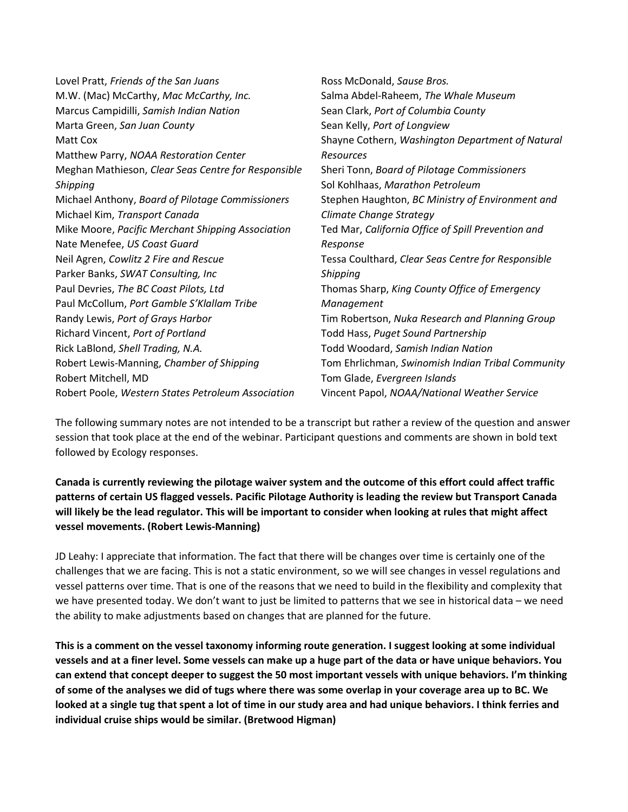| Lovel Pratt, Friends of the San Juans               | Ross McDonald, Sause Bros.                         |
|-----------------------------------------------------|----------------------------------------------------|
| M.W. (Mac) McCarthy, Mac McCarthy, Inc.             | Salma Abdel-Raheem, The Whale Museum               |
| Marcus Campidilli, Samish Indian Nation             | Sean Clark, Port of Columbia County                |
| Marta Green, San Juan County                        | Sean Kelly, Port of Longview                       |
| Matt Cox                                            | Shayne Cothern, Washington Department of Natural   |
| Matthew Parry, NOAA Restoration Center              | <b>Resources</b>                                   |
| Meghan Mathieson, Clear Seas Centre for Responsible | Sheri Tonn, Board of Pilotage Commissioners        |
| Shipping                                            | Sol Kohlhaas, Marathon Petroleum                   |
| Michael Anthony, Board of Pilotage Commissioners    | Stephen Haughton, BC Ministry of Environment and   |
| Michael Kim, Transport Canada                       | Climate Change Strategy                            |
| Mike Moore, Pacific Merchant Shipping Association   | Ted Mar, California Office of Spill Prevention and |
| Nate Menefee, US Coast Guard                        | Response                                           |
| Neil Agren, Cowlitz 2 Fire and Rescue               | Tessa Coulthard, Clear Seas Centre for Responsible |
| Parker Banks, SWAT Consulting, Inc                  | Shipping                                           |
| Paul Devries, The BC Coast Pilots, Ltd              | Thomas Sharp, King County Office of Emergency      |
| Paul McCollum, Port Gamble S'Klallam Tribe          | Management                                         |
| Randy Lewis, Port of Grays Harbor                   | Tim Robertson, Nuka Research and Planning Group    |
| Richard Vincent, Port of Portland                   | Todd Hass, Puget Sound Partnership                 |
| Rick LaBlond, Shell Trading, N.A.                   | Todd Woodard, Samish Indian Nation                 |
| Robert Lewis-Manning, Chamber of Shipping           | Tom Ehrlichman, Swinomish Indian Tribal Community  |
| Robert Mitchell, MD                                 | Tom Glade, Evergreen Islands                       |
| Robert Poole, Western States Petroleum Association  | Vincent Papol, NOAA/National Weather Service       |
|                                                     |                                                    |

The following summary notes are not intended to be a transcript but rather a review of the question and answer session that took place at the end of the webinar. Participant questions and comments are shown in bold text followed by Ecology responses.

Canada is currently reviewing the pilotage waiver system and the outcome of this effort could affect traffic patterns of certain US flagged vessels. Pacific Pilotage Authority is leading the review but Transport Canada will likely be the lead regulator. This will be important to consider when looking at rules that might affect vessel movements. (Robert Lewis-Manning)

JD Leahy: I appreciate that information. The fact that there will be changes over time is certainly one of the challenges that we are facing. This is not a static environment, so we will see changes in vessel regulations and vessel patterns over time. That is one of the reasons that we need to build in the flexibility and complexity that we have presented today. We don't want to just be limited to patterns that we see in historical data – we need the ability to make adjustments based on changes that are planned for the future.

This is a comment on the vessel taxonomy informing route generation. I suggest looking at some individual vessels and at a finer level. Some vessels can make up a huge part of the data or have unique behaviors. You can extend that concept deeper to suggest the 50 most important vessels with unique behaviors. I'm thinking of some of the analyses we did of tugs where there was some overlap in your coverage area up to BC. We looked at a single tug that spent a lot of time in our study area and had unique behaviors. I think ferries and individual cruise ships would be similar. (Bretwood Higman)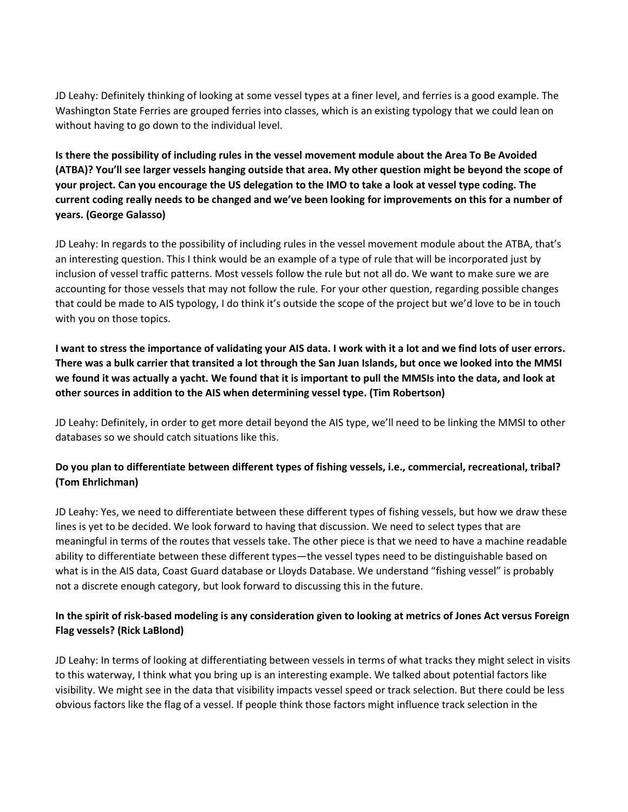JD Leahy: Definitely thinking of looking at some vessel types at a finer level, and ferries is a good example. The Washington State Ferries are grouped ferries into classes, which is an existing typology that we could lean on without having to go down to the individual level.

Is there the possibility of including rules in the vessel movement module about the Area To Be Avoided (ATBA)? You'll see larger vessels hanging outside that area. My other question might be beyond the scope of your project. Can you encourage the US delegation to the IMO to take a look at vessel type coding. The current coding really needs to be changed and we've been looking for improvements on this for a number of years. (George Galasso)

JD Leahy: In regards to the possibility of including rules in the vessel movement module about the ATBA, that's an interesting question. This I think would be an example of a type of rule that will be incorporated just by inclusion of vessel traffic patterns. Most vessels follow the rule but not all do. We want to make sure we are accounting for those vessels that may not follow the rule. For your other question, regarding possible changes that could be made to AIS typology, I do think it's outside the scope of the project but we'd love to be in touch with you on those topics.

I want to stress the importance of validating your AIS data. I work with it a lot and we find lots of user errors. There was a bulk carrier that transited a lot through the San Juan Islands, but once we looked into the MMSI we found it was actually a yacht. We found that it is important to pull the MMSIs into the data, and look at other sources in addition to the AIS when determining vessel type. (Tim Robertson)

JD Leahy: Definitely, in order to get more detail beyond the AIS type, we'll need to be linking the MMSI to other databases so we should catch situations like this.

# Do you plan to differentiate between different types of fishing vessels, i.e., commercial, recreational, tribal? (Tom Ehrlichman)

JD Leahy: Yes, we need to differentiate between these different types of fishing vessels, but how we draw these lines is yet to be decided. We look forward to having that discussion. We need to select types that are meaningful in terms of the routes that vessels take. The other piece is that we need to have a machine readable ability to differentiate between these different types—the vessel types need to be distinguishable based on what is in the AIS data, Coast Guard database or Lloyds Database. We understand "fishing vessel" is probably not a discrete enough category, but look forward to discussing this in the future.

# In the spirit of risk-based modeling is any consideration given to looking at metrics of Jones Act versus Foreign Flag vessels? (Rick LaBlond)

JD Leahy: In terms of looking at differentiating between vessels in terms of what tracks they might select in visits to this waterway, I think what you bring up is an interesting example. We talked about potential factors like visibility. We might see in the data that visibility impacts vessel speed or track selection. But there could be less obvious factors like the flag of a vessel. If people think those factors might influence track selection in the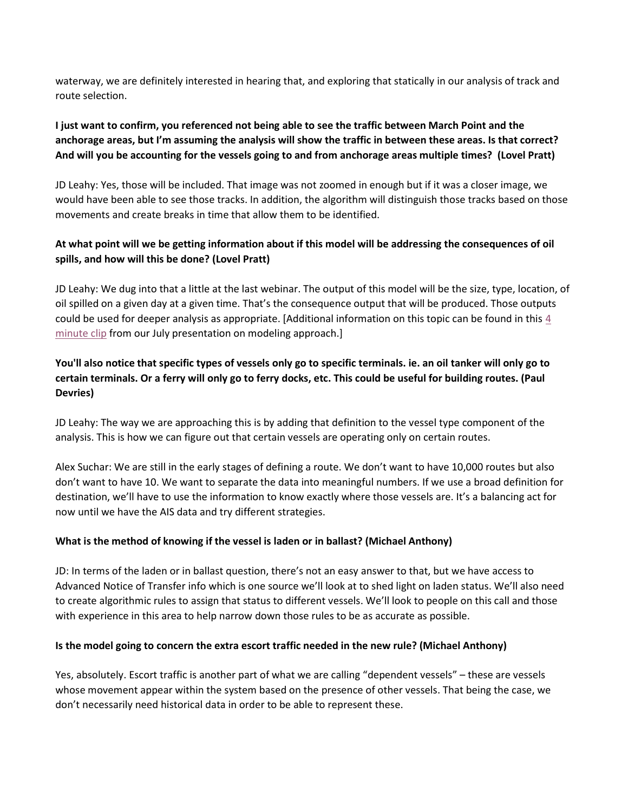waterway, we are definitely interested in hearing that, and exploring that statically in our analysis of track and route selection.

## I just want to confirm, you referenced not being able to see the traffic between March Point and the anchorage areas, but I'm assuming the analysis will show the traffic in between these areas. Is that correct? And will you be accounting for the vessels going to and from anchorage areas multiple times? (Lovel Pratt)

JD Leahy: Yes, those will be included. That image was not zoomed in enough but if it was a closer image, we would have been able to see those tracks. In addition, the algorithm will distinguish those tracks based on those movements and create breaks in time that allow them to be identified.

# At what point will we be getting information about if this model will be addressing the consequences of oil spills, and how will this be done? (Lovel Pratt)

JD Leahy: We dug into that a little at the last webinar. The output of this model will be the size, type, location, of oil spilled on a given day at a given time. That's the consequence output that will be produced. Those outputs could be used for deeper analysis as appropriate. [Additional information on this topic can be found in this 4 minute clip from our July presentation on modeling approach.]

# You'll also notice that specific types of vessels only go to specific terminals. ie. an oil tanker will only go to certain terminals. Or a ferry will only go to ferry docks, etc. This could be useful for building routes. (Paul Devries)

JD Leahy: The way we are approaching this is by adding that definition to the vessel type component of the analysis. This is how we can figure out that certain vessels are operating only on certain routes.

Alex Suchar: We are still in the early stages of defining a route. We don't want to have 10,000 routes but also don't want to have 10. We want to separate the data into meaningful numbers. If we use a broad definition for destination, we'll have to use the information to know exactly where those vessels are. It's a balancing act for now until we have the AIS data and try different strategies.

#### What is the method of knowing if the vessel is laden or in ballast? (Michael Anthony)

JD: In terms of the laden or in ballast question, there's not an easy answer to that, but we have access to Advanced Notice of Transfer info which is one source we'll look at to shed light on laden status. We'll also need to create algorithmic rules to assign that status to different vessels. We'll look to people on this call and those with experience in this area to help narrow down those rules to be as accurate as possible.

#### Is the model going to concern the extra escort traffic needed in the new rule? (Michael Anthony)

Yes, absolutely. Escort traffic is another part of what we are calling "dependent vessels" – these are vessels whose movement appear within the system based on the presence of other vessels. That being the case, we don't necessarily need historical data in order to be able to represent these.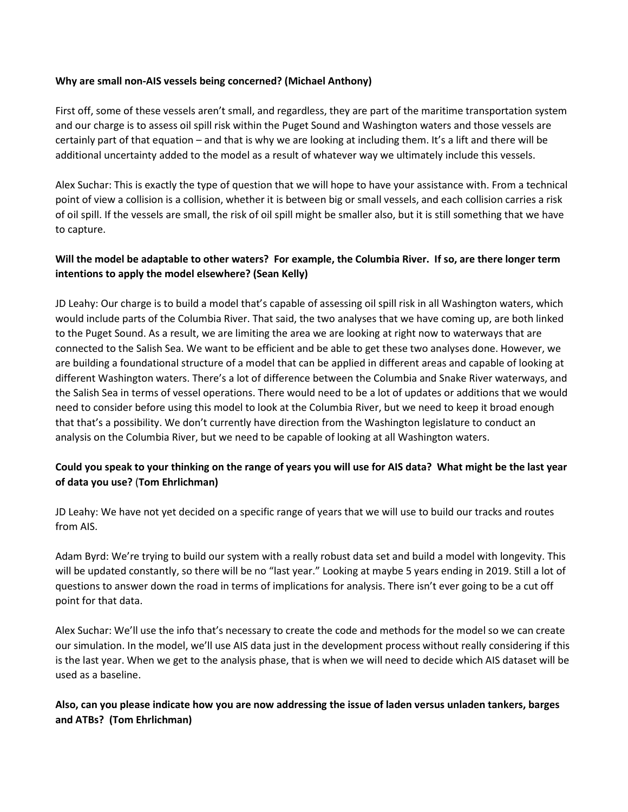#### Why are small non-AIS vessels being concerned? (Michael Anthony)

First off, some of these vessels aren't small, and regardless, they are part of the maritime transportation system and our charge is to assess oil spill risk within the Puget Sound and Washington waters and those vessels are certainly part of that equation – and that is why we are looking at including them. It's a lift and there will be additional uncertainty added to the model as a result of whatever way we ultimately include this vessels.

Alex Suchar: This is exactly the type of question that we will hope to have your assistance with. From a technical point of view a collision is a collision, whether it is between big or small vessels, and each collision carries a risk of oil spill. If the vessels are small, the risk of oil spill might be smaller also, but it is still something that we have to capture.

#### Will the model be adaptable to other waters? For example, the Columbia River. If so, are there longer term intentions to apply the model elsewhere? (Sean Kelly)

JD Leahy: Our charge is to build a model that's capable of assessing oil spill risk in all Washington waters, which would include parts of the Columbia River. That said, the two analyses that we have coming up, are both linked to the Puget Sound. As a result, we are limiting the area we are looking at right now to waterways that are connected to the Salish Sea. We want to be efficient and be able to get these two analyses done. However, we are building a foundational structure of a model that can be applied in different areas and capable of looking at different Washington waters. There's a lot of difference between the Columbia and Snake River waterways, and the Salish Sea in terms of vessel operations. There would need to be a lot of updates or additions that we would need to consider before using this model to look at the Columbia River, but we need to keep it broad enough that that's a possibility. We don't currently have direction from the Washington legislature to conduct an analysis on the Columbia River, but we need to be capable of looking at all Washington waters.

# Could you speak to your thinking on the range of years you will use for AIS data? What might be the last year of data you use? (Tom Ehrlichman)

JD Leahy: We have not yet decided on a specific range of years that we will use to build our tracks and routes from AIS.

Adam Byrd: We're trying to build our system with a really robust data set and build a model with longevity. This will be updated constantly, so there will be no "last year." Looking at maybe 5 years ending in 2019. Still a lot of questions to answer down the road in terms of implications for analysis. There isn't ever going to be a cut off point for that data.

Alex Suchar: We'll use the info that's necessary to create the code and methods for the model so we can create our simulation. In the model, we'll use AIS data just in the development process without really considering if this is the last year. When we get to the analysis phase, that is when we will need to decide which AIS dataset will be used as a baseline.

#### Also, can you please indicate how you are now addressing the issue of laden versus unladen tankers, barges and ATBs? (Tom Ehrlichman)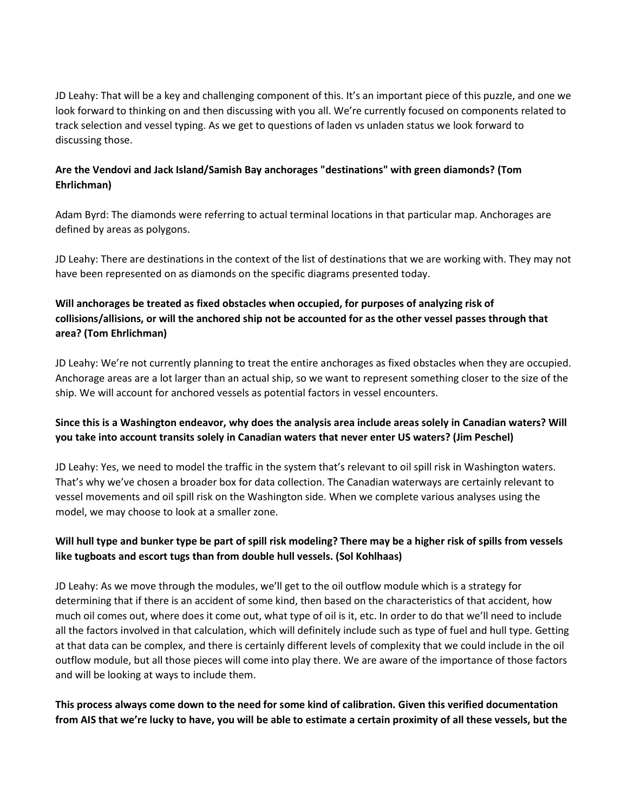JD Leahy: That will be a key and challenging component of this. It's an important piece of this puzzle, and one we look forward to thinking on and then discussing with you all. We're currently focused on components related to track selection and vessel typing. As we get to questions of laden vs unladen status we look forward to discussing those.

#### Are the Vendovi and Jack Island/Samish Bay anchorages "destinations" with green diamonds? (Tom Ehrlichman)

Adam Byrd: The diamonds were referring to actual terminal locations in that particular map. Anchorages are defined by areas as polygons.

JD Leahy: There are destinations in the context of the list of destinations that we are working with. They may not have been represented on as diamonds on the specific diagrams presented today.

# Will anchorages be treated as fixed obstacles when occupied, for purposes of analyzing risk of collisions/allisions, or will the anchored ship not be accounted for as the other vessel passes through that area? (Tom Ehrlichman)

JD Leahy: We're not currently planning to treat the entire anchorages as fixed obstacles when they are occupied. Anchorage areas are a lot larger than an actual ship, so we want to represent something closer to the size of the ship. We will account for anchored vessels as potential factors in vessel encounters.

# Since this is a Washington endeavor, why does the analysis area include areas solely in Canadian waters? Will you take into account transits solely in Canadian waters that never enter US waters? (Jim Peschel)

JD Leahy: Yes, we need to model the traffic in the system that's relevant to oil spill risk in Washington waters. That's why we've chosen a broader box for data collection. The Canadian waterways are certainly relevant to vessel movements and oil spill risk on the Washington side. When we complete various analyses using the model, we may choose to look at a smaller zone.

# Will hull type and bunker type be part of spill risk modeling? There may be a higher risk of spills from vessels like tugboats and escort tugs than from double hull vessels. (Sol Kohlhaas)

JD Leahy: As we move through the modules, we'll get to the oil outflow module which is a strategy for determining that if there is an accident of some kind, then based on the characteristics of that accident, how much oil comes out, where does it come out, what type of oil is it, etc. In order to do that we'll need to include all the factors involved in that calculation, which will definitely include such as type of fuel and hull type. Getting at that data can be complex, and there is certainly different levels of complexity that we could include in the oil outflow module, but all those pieces will come into play there. We are aware of the importance of those factors and will be looking at ways to include them.

# This process always come down to the need for some kind of calibration. Given this verified documentation from AIS that we're lucky to have, you will be able to estimate a certain proximity of all these vessels, but the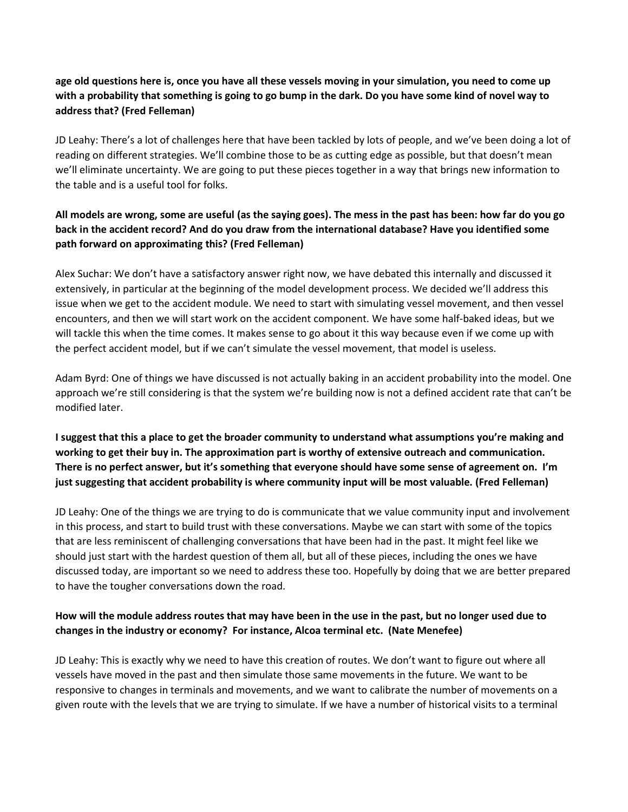#### age old questions here is, once you have all these vessels moving in your simulation, you need to come up with a probability that something is going to go bump in the dark. Do you have some kind of novel way to address that? (Fred Felleman)

JD Leahy: There's a lot of challenges here that have been tackled by lots of people, and we've been doing a lot of reading on different strategies. We'll combine those to be as cutting edge as possible, but that doesn't mean we'll eliminate uncertainty. We are going to put these pieces together in a way that brings new information to the table and is a useful tool for folks.

## All models are wrong, some are useful (as the saying goes). The mess in the past has been: how far do you go back in the accident record? And do you draw from the international database? Have you identified some path forward on approximating this? (Fred Felleman)

Alex Suchar: We don't have a satisfactory answer right now, we have debated this internally and discussed it extensively, in particular at the beginning of the model development process. We decided we'll address this issue when we get to the accident module. We need to start with simulating vessel movement, and then vessel encounters, and then we will start work on the accident component. We have some half-baked ideas, but we will tackle this when the time comes. It makes sense to go about it this way because even if we come up with the perfect accident model, but if we can't simulate the vessel movement, that model is useless.

Adam Byrd: One of things we have discussed is not actually baking in an accident probability into the model. One approach we're still considering is that the system we're building now is not a defined accident rate that can't be modified later.

I suggest that this a place to get the broader community to understand what assumptions you're making and working to get their buy in. The approximation part is worthy of extensive outreach and communication. There is no perfect answer, but it's something that everyone should have some sense of agreement on. I'm just suggesting that accident probability is where community input will be most valuable. (Fred Felleman)

JD Leahy: One of the things we are trying to do is communicate that we value community input and involvement in this process, and start to build trust with these conversations. Maybe we can start with some of the topics that are less reminiscent of challenging conversations that have been had in the past. It might feel like we should just start with the hardest question of them all, but all of these pieces, including the ones we have discussed today, are important so we need to address these too. Hopefully by doing that we are better prepared to have the tougher conversations down the road.

# How will the module address routes that may have been in the use in the past, but no longer used due to changes in the industry or economy? For instance, Alcoa terminal etc. (Nate Menefee)

JD Leahy: This is exactly why we need to have this creation of routes. We don't want to figure out where all vessels have moved in the past and then simulate those same movements in the future. We want to be responsive to changes in terminals and movements, and we want to calibrate the number of movements on a given route with the levels that we are trying to simulate. If we have a number of historical visits to a terminal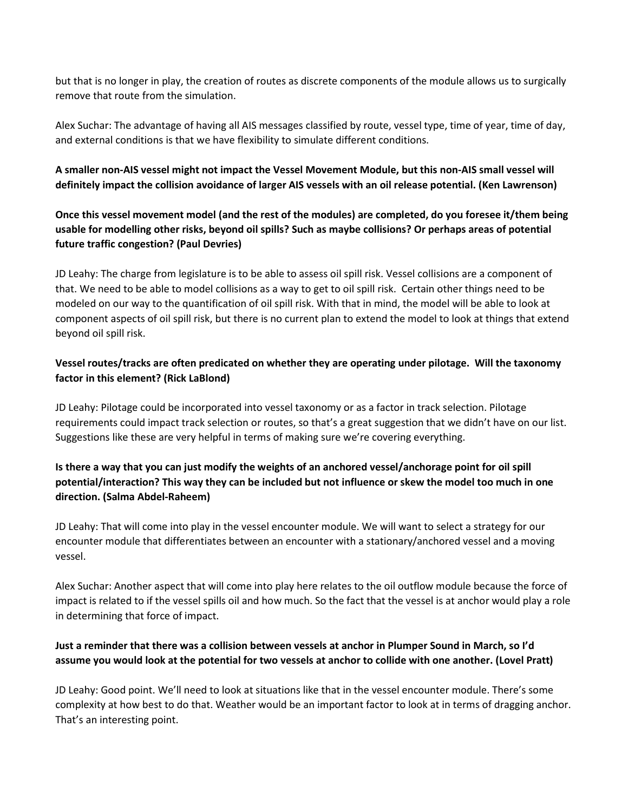but that is no longer in play, the creation of routes as discrete components of the module allows us to surgically remove that route from the simulation.

Alex Suchar: The advantage of having all AIS messages classified by route, vessel type, time of year, time of day, and external conditions is that we have flexibility to simulate different conditions.

#### A smaller non-AIS vessel might not impact the Vessel Movement Module, but this non-AIS small vessel will definitely impact the collision avoidance of larger AIS vessels with an oil release potential. (Ken Lawrenson)

#### Once this vessel movement model (and the rest of the modules) are completed, do you foresee it/them being usable for modelling other risks, beyond oil spills? Such as maybe collisions? Or perhaps areas of potential future traffic congestion? (Paul Devries)

JD Leahy: The charge from legislature is to be able to assess oil spill risk. Vessel collisions are a component of that. We need to be able to model collisions as a way to get to oil spill risk. Certain other things need to be modeled on our way to the quantification of oil spill risk. With that in mind, the model will be able to look at component aspects of oil spill risk, but there is no current plan to extend the model to look at things that extend beyond oil spill risk.

#### Vessel routes/tracks are often predicated on whether they are operating under pilotage. Will the taxonomy factor in this element? (Rick LaBlond)

JD Leahy: Pilotage could be incorporated into vessel taxonomy or as a factor in track selection. Pilotage requirements could impact track selection or routes, so that's a great suggestion that we didn't have on our list. Suggestions like these are very helpful in terms of making sure we're covering everything.

# Is there a way that you can just modify the weights of an anchored vessel/anchorage point for oil spill potential/interaction? This way they can be included but not influence or skew the model too much in one direction. (Salma Abdel-Raheem)

JD Leahy: That will come into play in the vessel encounter module. We will want to select a strategy for our encounter module that differentiates between an encounter with a stationary/anchored vessel and a moving vessel.

Alex Suchar: Another aspect that will come into play here relates to the oil outflow module because the force of impact is related to if the vessel spills oil and how much. So the fact that the vessel is at anchor would play a role in determining that force of impact.

#### Just a reminder that there was a collision between vessels at anchor in Plumper Sound in March, so I'd assume you would look at the potential for two vessels at anchor to collide with one another. (Lovel Pratt)

JD Leahy: Good point. We'll need to look at situations like that in the vessel encounter module. There's some complexity at how best to do that. Weather would be an important factor to look at in terms of dragging anchor. That's an interesting point.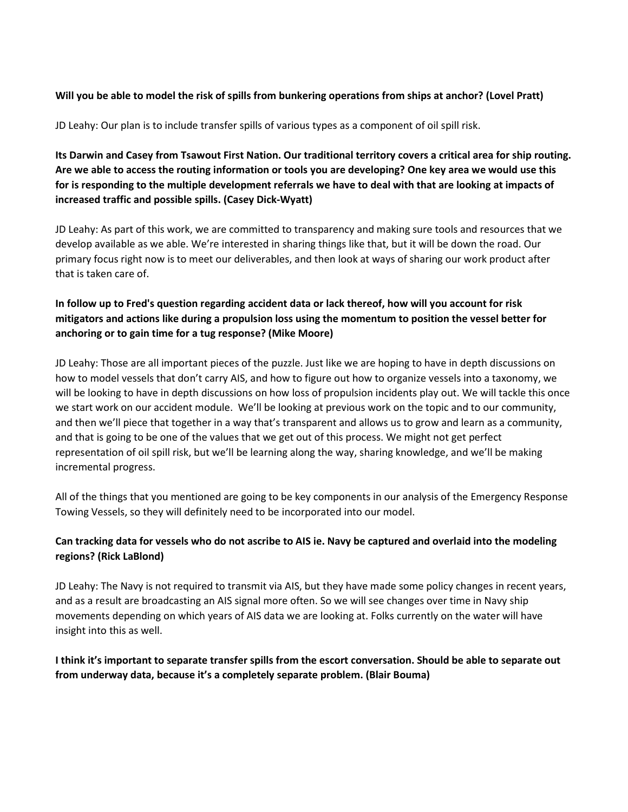#### Will you be able to model the risk of spills from bunkering operations from ships at anchor? (Lovel Pratt)

JD Leahy: Our plan is to include transfer spills of various types as a component of oil spill risk.

Its Darwin and Casey from Tsawout First Nation. Our traditional territory covers a critical area for ship routing. Are we able to access the routing information or tools you are developing? One key area we would use this for is responding to the multiple development referrals we have to deal with that are looking at impacts of increased traffic and possible spills. (Casey Dick-Wyatt)

JD Leahy: As part of this work, we are committed to transparency and making sure tools and resources that we develop available as we able. We're interested in sharing things like that, but it will be down the road. Our primary focus right now is to meet our deliverables, and then look at ways of sharing our work product after that is taken care of.

## In follow up to Fred's question regarding accident data or lack thereof, how will you account for risk mitigators and actions like during a propulsion loss using the momentum to position the vessel better for anchoring or to gain time for a tug response? (Mike Moore)

JD Leahy: Those are all important pieces of the puzzle. Just like we are hoping to have in depth discussions on how to model vessels that don't carry AIS, and how to figure out how to organize vessels into a taxonomy, we will be looking to have in depth discussions on how loss of propulsion incidents play out. We will tackle this once we start work on our accident module. We'll be looking at previous work on the topic and to our community, and then we'll piece that together in a way that's transparent and allows us to grow and learn as a community, and that is going to be one of the values that we get out of this process. We might not get perfect representation of oil spill risk, but we'll be learning along the way, sharing knowledge, and we'll be making incremental progress.

All of the things that you mentioned are going to be key components in our analysis of the Emergency Response Towing Vessels, so they will definitely need to be incorporated into our model.

#### Can tracking data for vessels who do not ascribe to AIS ie. Navy be captured and overlaid into the modeling regions? (Rick LaBlond)

JD Leahy: The Navy is not required to transmit via AIS, but they have made some policy changes in recent years, and as a result are broadcasting an AIS signal more often. So we will see changes over time in Navy ship movements depending on which years of AIS data we are looking at. Folks currently on the water will have insight into this as well.

#### I think it's important to separate transfer spills from the escort conversation. Should be able to separate out from underway data, because it's a completely separate problem. (Blair Bouma)